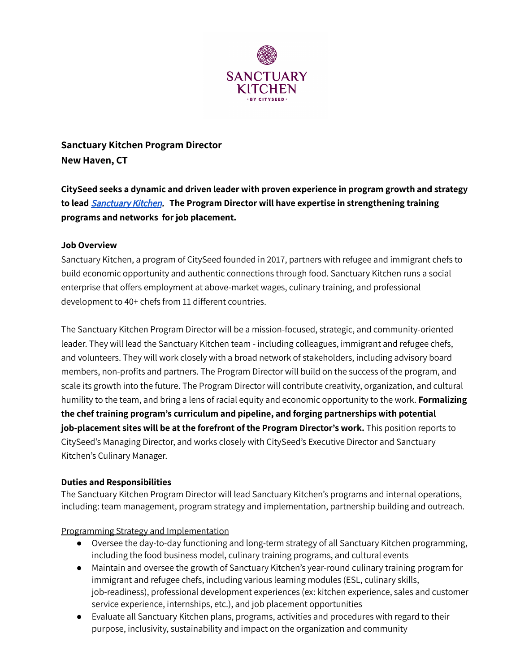

# **Sanctuary Kitchen Program Director New Haven, CT**

**CitySeed seeks a dynamic and driven leader with proven experience in program growth and strategy to lead** [Sanctuary](https://www.sanctuarykitchen.org/) Kitchen. **The Program Director will have expertise in strengthening training programs and networks for job placement.**

## **Job Overview**

Sanctuary Kitchen, a program of CitySeed founded in 2017, partners with refugee and immigrant chefs to build economic opportunity and authentic connections through food. Sanctuary Kitchen runs a social enterprise that offers employment at above-market wages, culinary training, and professional development to 40+ chefs from 11 different countries.

The Sanctuary Kitchen Program Director will be a mission-focused, strategic, and community-oriented leader. They will lead the Sanctuary Kitchen team - including colleagues, immigrant and refugee chefs, and volunteers. They will work closely with a broad network of stakeholders, including advisory board members, non-profits and partners. The Program Director will build on the success of the program, and scale its growth into the future. The Program Director will contribute creativity, organization, and cultural humility to the team, and bring a lens of racial equity and economic opportunity to the work. **Formalizing the chef training program's curriculum and pipeline, and forging partnerships with potential job-placement sites will be at the forefront of the Program Director's work.** This position reports to CitySeed's Managing Director, and works closely with CitySeed's Executive Director and Sanctuary Kitchen's Culinary Manager.

## **Duties and Responsibilities**

The Sanctuary Kitchen Program Director will lead Sanctuary Kitchen's programs and internal operations, including: team management, program strategy and implementation, partnership building and outreach.

Programming Strategy and Implementation

- Oversee the day-to-day functioning and long-term strategy of all Sanctuary Kitchen programming, including the food business model, culinary training programs, and cultural events
- Maintain and oversee the growth of Sanctuary Kitchen's year-round culinary training program for immigrant and refugee chefs, including various learning modules (ESL, culinary skills, job-readiness), professional development experiences (ex: kitchen experience, sales and customer service experience, internships, etc.), and job placement opportunities
- Evaluate all Sanctuary Kitchen plans, programs, activities and procedures with regard to their purpose, inclusivity, sustainability and impact on the organization and community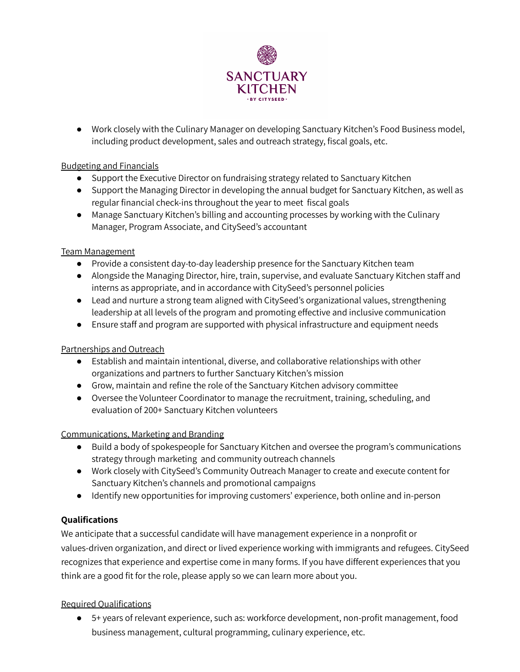

● Work closely with the Culinary Manager on developing Sanctuary Kitchen's Food Business model, including product development, sales and outreach strategy, fiscal goals, etc.

## Budgeting and Financials

- Support the Executive Director on fundraising strategy related to Sanctuary Kitchen
- Support the Managing Director in developing the annual budget for Sanctuary Kitchen, as well as regular financial check-ins throughout the year to meet fiscal goals
- Manage Sanctuary Kitchen's billing and accounting processes by working with the Culinary Manager, Program Associate, and CitySeed's accountant

#### Team Management

- Provide a consistent day-to-day leadership presence for the Sanctuary Kitchen team
- Alongside the Managing Director, hire, train, supervise, and evaluate Sanctuary Kitchen staff and interns as appropriate, and in accordance with CitySeed's personnel policies
- Lead and nurture a strong team aligned with CitySeed's organizational values, strengthening leadership at all levels of the program and promoting effective and inclusive communication
- Ensure staff and program are supported with physical infrastructure and equipment needs

## Partnerships and Outreach

- Establish and maintain intentional, diverse, and collaborative relationships with other organizations and partners to further Sanctuary Kitchen's mission
- Grow, maintain and refine the role of the Sanctuary Kitchen advisory committee
- Oversee the Volunteer Coordinator to manage the recruitment, training, scheduling, and evaluation of 200+ Sanctuary Kitchen volunteers

## Communications, Marketing and Branding

- Build a body of spokespeople for Sanctuary Kitchen and oversee the program's communications strategy through marketing and community outreach channels
- Work closely with CitySeed's Community Outreach Manager to create and execute content for Sanctuary Kitchen's channels and promotional campaigns
- Identify new opportunities for improving customers' experience, both online and in-person

## **Qualifications**

We anticipate that a successful candidate will have management experience in a nonprofit or values-driven organization, and direct or lived experience working with immigrants and refugees. CitySeed recognizes that experience and expertise come in many forms. If you have different experiences that you think are a good fit for the role, please apply so we can learn more about you.

## Required Qualifications

● 5+ years of relevant experience, such as: workforce development, non-profit management, food business management, cultural programming, culinary experience, etc.